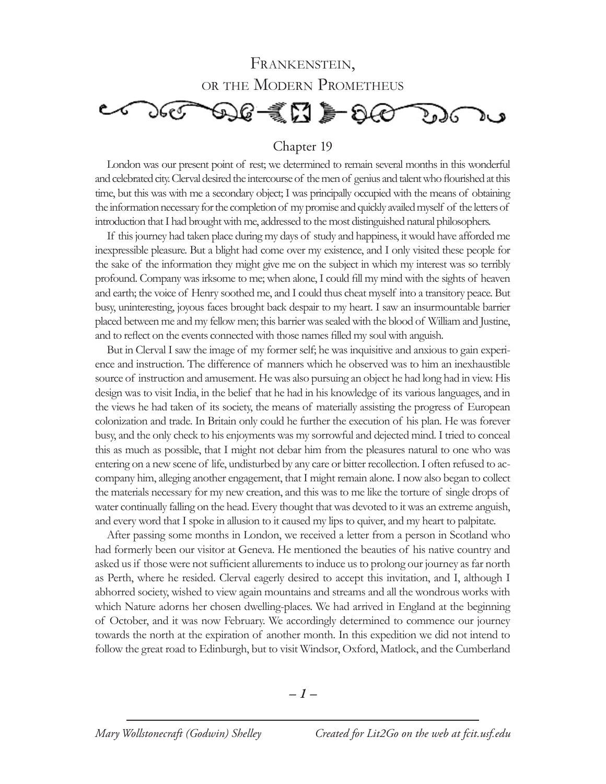## FRANKENSTEIN, or the Modern Prometheus



## Chapter 19

London was our present point of rest; we determined to remain several months in this wonderful and celebrated city. Clerval desired the intercourse of the men of genius and talent who flourished at this time, but this was with me a secondary object; I was principally occupied with the means of obtaining the information necessary for the completion of my promise and quickly availed myself of the letters of introduction that I had brought with me, addressed to the most distinguished natural philosophers.

If this journey had taken place during my days of study and happiness, it would have afforded me inexpressible pleasure. But a blight had come over my existence, and I only visited these people for the sake of the information they might give me on the subject in which my interest was so terribly profound. Company was irksome to me; when alone, I could fill my mind with the sights of heaven and earth; the voice of Henry soothed me, and I could thus cheat myself into a transitory peace. But busy, uninteresting, joyous faces brought back despair to my heart. I saw an insurmountable barrier placed between me and my fellow men; this barrier was sealed with the blood of William and Justine, and to reflect on the events connected with those names filled my soul with anguish.

But in Clerval I saw the image of my former self; he was inquisitive and anxious to gain experience and instruction. The difference of manners which he observed was to him an inexhaustible source of instruction and amusement. He was also pursuing an object he had long had in view. His design was to visit India, in the belief that he had in his knowledge of its various languages, and in the views he had taken of its society, the means of materially assisting the progress of European colonization and trade. In Britain only could he further the execution of his plan. He was forever busy, and the only check to his enjoyments was my sorrowful and dejected mind. I tried to conceal this as much as possible, that I might not debar him from the pleasures natural to one who was entering on a new scene of life, undisturbed by any care or bitter recollection. I often refused to accompany him, alleging another engagement, that I might remain alone. I now also began to collect the materials necessary for my new creation, and this was to me like the torture of single drops of water continually falling on the head. Every thought that was devoted to it was an extreme anguish, and every word that I spoke in allusion to it caused my lips to quiver, and my heart to palpitate.

After passing some months in London, we received a letter from a person in Scotland who had formerly been our visitor at Geneva. He mentioned the beauties of his native country and asked us if those were not sufficient allurements to induce us to prolong our journey as far north as Perth, where he resided. Clerval eagerly desired to accept this invitation, and I, although I abhorred society, wished to view again mountains and streams and all the wondrous works with which Nature adorns her chosen dwelling-places. We had arrived in England at the beginning of October, and it was now February. We accordingly determined to commence our journey towards the north at the expiration of another month. In this expedition we did not intend to follow the great road to Edinburgh, but to visit Windsor, Oxford, Matlock, and the Cumberland

*– –*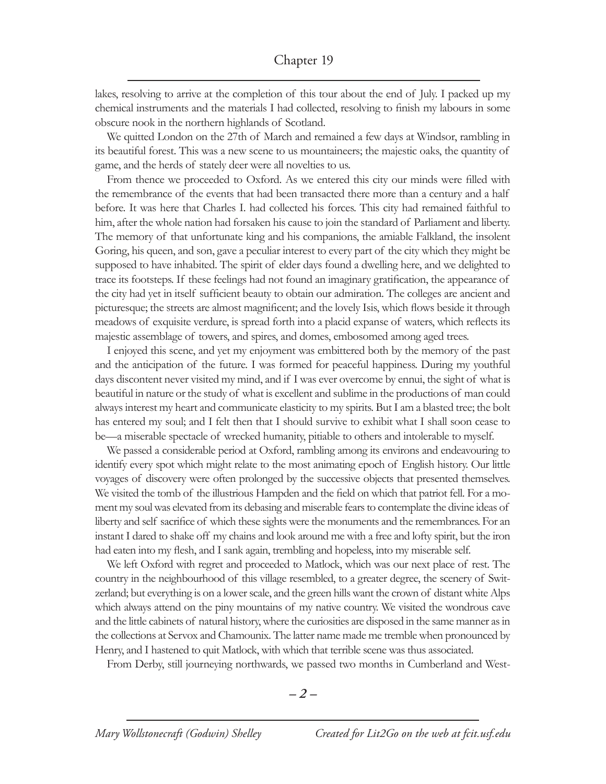lakes, resolving to arrive at the completion of this tour about the end of July. I packed up my chemical instruments and the materials I had collected, resolving to finish my labours in some obscure nook in the northern highlands of Scotland.

We quitted London on the 27th of March and remained a few days at Windsor, rambling in its beautiful forest. This was a new scene to us mountaineers; the majestic oaks, the quantity of game, and the herds of stately deer were all novelties to us.

From thence we proceeded to Oxford. As we entered this city our minds were filled with the remembrance of the events that had been transacted there more than a century and a half before. It was here that Charles I. had collected his forces. This city had remained faithful to him, after the whole nation had forsaken his cause to join the standard of Parliament and liberty. The memory of that unfortunate king and his companions, the amiable Falkland, the insolent Goring, his queen, and son, gave a peculiar interest to every part of the city which they might be supposed to have inhabited. The spirit of elder days found a dwelling here, and we delighted to trace its footsteps. If these feelings had not found an imaginary gratification, the appearance of the city had yet in itself sufficient beauty to obtain our admiration. The colleges are ancient and picturesque; the streets are almost magnificent; and the lovely Isis, which flows beside it through meadows of exquisite verdure, is spread forth into a placid expanse of waters, which reflects its majestic assemblage of towers, and spires, and domes, embosomed among aged trees.

I enjoyed this scene, and yet my enjoyment was embittered both by the memory of the past and the anticipation of the future. I was formed for peaceful happiness. During my youthful days discontent never visited my mind, and if I was ever overcome by ennui, the sight of what is beautiful in nature or the study of what is excellent and sublime in the productions of man could always interest my heart and communicate elasticity to my spirits. But I am a blasted tree; the bolt has entered my soul; and I felt then that I should survive to exhibit what I shall soon cease to be—a miserable spectacle of wrecked humanity, pitiable to others and intolerable to myself.

We passed a considerable period at Oxford, rambling among its environs and endeavouring to identify every spot which might relate to the most animating epoch of English history. Our little voyages of discovery were often prolonged by the successive objects that presented themselves. We visited the tomb of the illustrious Hampden and the field on which that patriot fell. For a moment my soul was elevated from its debasing and miserable fears to contemplate the divine ideas of liberty and self sacrifice of which these sights were the monuments and the remembrances. For an instant I dared to shake off my chains and look around me with a free and lofty spirit, but the iron had eaten into my flesh, and I sank again, trembling and hopeless, into my miserable self.

We left Oxford with regret and proceeded to Matlock, which was our next place of rest. The country in the neighbourhood of this village resembled, to a greater degree, the scenery of Switzerland; but everything is on a lower scale, and the green hills want the crown of distant white Alps which always attend on the piny mountains of my native country. We visited the wondrous cave and the little cabinets of natural history, where the curiosities are disposed in the same manner as in the collections at Servox and Chamounix. The latter name made me tremble when pronounced by Henry, and I hastened to quit Matlock, with which that terrible scene was thus associated.

From Derby, still journeying northwards, we passed two months in Cumberland and West-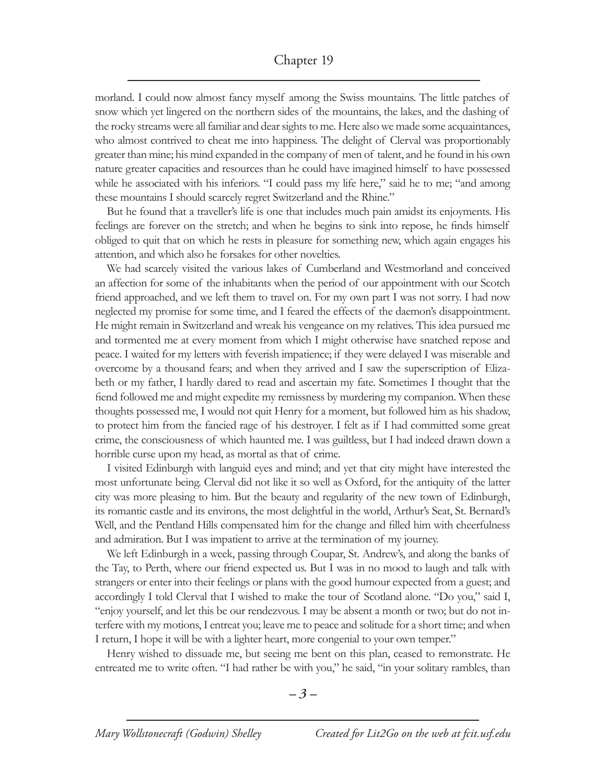## Chapter 19

morland. I could now almost fancy myself among the Swiss mountains. The little patches of snow which yet lingered on the northern sides of the mountains, the lakes, and the dashing of the rocky streams were all familiar and dear sights to me. Here also we made some acquaintances, who almost contrived to cheat me into happiness. The delight of Clerval was proportionably greater than mine; his mind expanded in the company of men of talent, and he found in his own nature greater capacities and resources than he could have imagined himself to have possessed while he associated with his inferiors. "I could pass my life here," said he to me; "and among these mountains I should scarcely regret Switzerland and the Rhine."

But he found that a traveller's life is one that includes much pain amidst its enjoyments. His feelings are forever on the stretch; and when he begins to sink into repose, he finds himself obliged to quit that on which he rests in pleasure for something new, which again engages his attention, and which also he forsakes for other novelties.

We had scarcely visited the various lakes of Cumberland and Westmorland and conceived an affection for some of the inhabitants when the period of our appointment with our Scotch friend approached, and we left them to travel on. For my own part I was not sorry. I had now neglected my promise for some time, and I feared the effects of the daemon's disappointment. He might remain in Switzerland and wreak his vengeance on my relatives. This idea pursued me and tormented me at every moment from which I might otherwise have snatched repose and peace. I waited for my letters with feverish impatience; if they were delayed I was miserable and overcome by a thousand fears; and when they arrived and I saw the superscription of Elizabeth or my father, I hardly dared to read and ascertain my fate. Sometimes I thought that the fiend followed me and might expedite my remissness by murdering my companion. When these thoughts possessed me, I would not quit Henry for a moment, but followed him as his shadow, to protect him from the fancied rage of his destroyer. I felt as if I had committed some great crime, the consciousness of which haunted me. I was guiltless, but I had indeed drawn down a horrible curse upon my head, as mortal as that of crime.

I visited Edinburgh with languid eyes and mind; and yet that city might have interested the most unfortunate being. Clerval did not like it so well as Oxford, for the antiquity of the latter city was more pleasing to him. But the beauty and regularity of the new town of Edinburgh, its romantic castle and its environs, the most delightful in the world, Arthur's Seat, St. Bernard's Well, and the Pentland Hills compensated him for the change and filled him with cheerfulness and admiration. But I was impatient to arrive at the termination of my journey.

We left Edinburgh in a week, passing through Coupar, St. Andrew's, and along the banks of the Tay, to Perth, where our friend expected us. But I was in no mood to laugh and talk with strangers or enter into their feelings or plans with the good humour expected from a guest; and accordingly I told Clerval that I wished to make the tour of Scotland alone. "Do you," said I, "enjoy yourself, and let this be our rendezvous. I may be absent a month or two; but do not interfere with my motions, I entreat you; leave me to peace and solitude for a short time; and when I return, I hope it will be with a lighter heart, more congenial to your own temper."

Henry wished to dissuade me, but seeing me bent on this plan, ceased to remonstrate. He entreated me to write often. "I had rather be with you," he said, "in your solitary rambles, than